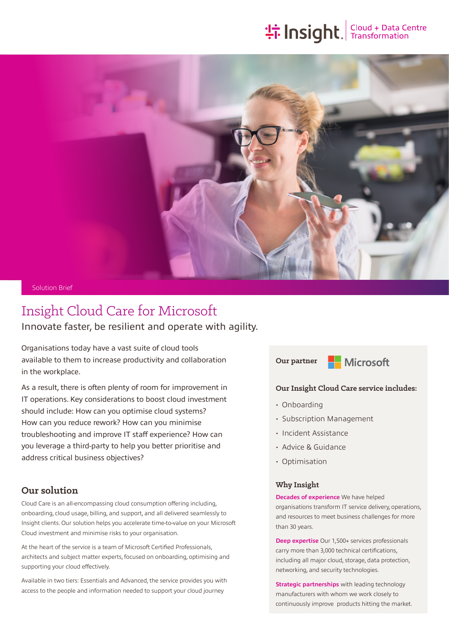# **the Insight**. Transformation



#### Solution Brief

## Insight Cloud Care for Microsoft Innovate faster, be resilient and operate with agility.

Organisations today have a vast suite of cloud tools available to them to increase productivity and collaboration in the workplace.

As a result, there is often plenty of room for improvement in IT operations. Key considerations to boost cloud investment should include: How can you optimise cloud systems? How can you reduce rework? How can you minimise troubleshooting and improve IT staff experience? How can you leverage a third-party to help you better prioritise and address critical business objectives?

## **Our solution**

Cloud Care is an all-encompassing cloud consumption offering including, onboarding, cloud usage, billing, and support, and all delivered seamlessly to Insight clients. Our solution helps you accelerate time-to-value on your Microsoft Cloud investment and minimise risks to your organisation.

At the heart of the service is a team of Microsoft Certified Professionals, architects and subject matter experts, focused on onboarding, optimising and supporting your cloud effectively.

Available in two tiers: Essentials and Advanced, the service provides you with access to the people and information needed to support your cloud journey

**Nicrosoft Our partner**



## **Our Insight Cloud Care service includes:**

- Onboarding
- Subscription Management
- Incident Assistance
- Advice & Guidance
- Optimisation

#### **Why Insight**

**Decades of experience** We have helped organisations transform IT service delivery, operations, and resources to meet business challenges for more than 30 years.

**Deep expertise** Our 1,500+ services professionals carry more than 3,000 technical certifications, including all major cloud, storage, data protection, networking, and security technologies.

**Strategic partnerships** with leading technology manufacturers with whom we work closely to continuously improve products hitting the market.